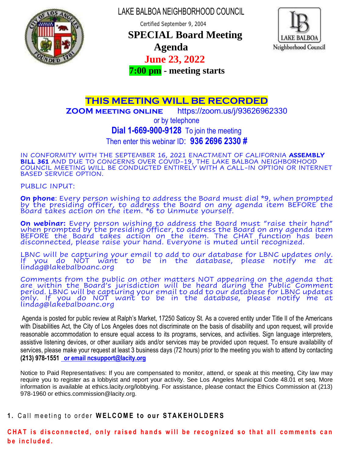

LAKE BALBOA NEIGHBORHOOD COUNCIL

Certified September 9, 2004

 **SPECIAL Board Meeting** 



# **Agenda**

### **June 23, 2022**

 **7:00 pm - meeting starts**

## **THIS MEETING WILL BE RECORDED**

**ZOOM meeting online** https://zoom.us/j/93626962330

or by telephone **Dial 1-669-900-9128** To join the meeting

Then enter this webinar ID: **936 2696 2330 #**

IN CONFORMITY WITH THE SEPTEMBER 16, 2021 ENACTMENT OF CALIFORNIA **ASSEMBLY BILL 361** AND DUE TO CONCERNS OVER COVID-19, THE LAKE BALBOA NEIGHBORHOOD COUNCIL MEETING WILL BE CONDUCTED ENTIRELY WITH A CALL-IN OPTION OR INTERNET BASED SERVICE OPTION.

PUBLIC INPUT:

**On phone**: Every person wishing to address the Board must dial \*9, when prompted by the presiding officer, to address the Board on any agenda item BEFORE the Board takes action on the item. \*6 to Unmute yourself.

**On webinar:** Every person wishing to address the Board must "raise their hand" when prompted by the presiding officer, to address the Board on any agenda item BEFORE the Board takes action on the item. The CHAT function has been disconnected, please raise your hand. Everyone is muted until recognized.

LBNC will be capturing your email to add to our database for LBNC updates only. If you do NOT want to be in the database, please notify me at lindag@lakebalboanc.org

Comments from the public on other matters NOT appearing on the agenda that are within the Board's jurisdiction will be heard during the Public Comment period. LBNC will be capturing your email to add to our database for LBNC updates only. If you do NOT want to be in the database, please notify me at lindag@lakebalboanc.org

Agenda is posted for public review at Ralph's Market, 17250 Saticoy St. As a covered entity under Title II of the Americans with Disabilities Act, the City of Los Angeles does not discriminate on the basis of disability and upon request, will provide reasonable accommodation to ensure equal access to its programs, services, and activities. Sign language interpreters, assistive listening devices, or other auxiliary aids and/or services may be provided upon request. To ensure availability of services, please make your request at least 3 business days (72 hours) prior to the meeting you wish to attend by contacting **(213) 978-1551 [or email ncsupport@lacity.org](mailto:__or_email_ncsupport@lacity.org)**

Notice to Paid Representatives: If you are compensated to monitor, attend, or speak at this meeting, City law may require you to register as a lobbyist and report your activity. See Los Angeles Municipal Code 48.01 et seq. More information is available at ethics.lacity.org/lobbying. For assistance, please contact the Ethics Commission at (213) 978-1960 or ethics.commission@lacity.org.

### 1. Call meeting to order WELCOME to our STAKEHOLDERS

CHAT is disconnected, only raised hands will be recognized so that all comments can **b e i n c l u d e d .**